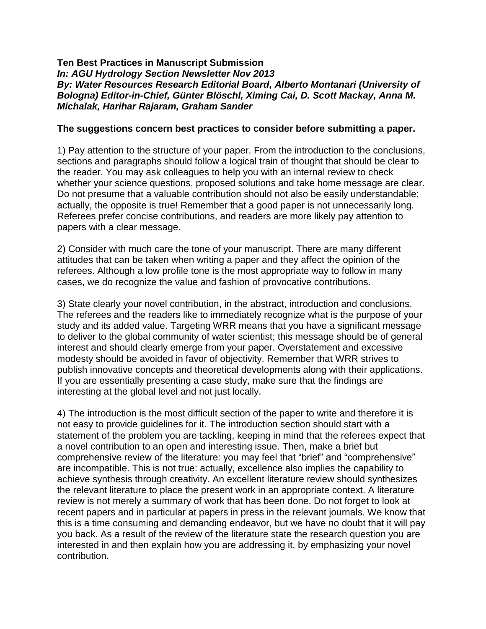## **Ten Best Practices in Manuscript Submission** *In: AGU Hydrology Section Newsletter Nov 2013 By: Water Resources Research Editorial Board, Alberto Montanari (University of Bologna) Editor-in-Chief, Günter Blöschl, Ximing Cai, D. Scott Mackay, Anna M. Michalak, Harihar Rajaram, Graham Sander*

## **The suggestions concern best practices to consider before submitting a paper.**

1) Pay attention to the structure of your paper. From the introduction to the conclusions, sections and paragraphs should follow a logical train of thought that should be clear to the reader. You may ask colleagues to help you with an internal review to check whether your science questions, proposed solutions and take home message are clear. Do not presume that a valuable contribution should not also be easily understandable; actually, the opposite is true! Remember that a good paper is not unnecessarily long. Referees prefer concise contributions, and readers are more likely pay attention to papers with a clear message.

2) Consider with much care the tone of your manuscript. There are many different attitudes that can be taken when writing a paper and they affect the opinion of the referees. Although a low profile tone is the most appropriate way to follow in many cases, we do recognize the value and fashion of provocative contributions.

3) State clearly your novel contribution, in the abstract, introduction and conclusions. The referees and the readers like to immediately recognize what is the purpose of your study and its added value. Targeting WRR means that you have a significant message to deliver to the global community of water scientist; this message should be of general interest and should clearly emerge from your paper. Overstatement and excessive modesty should be avoided in favor of objectivity. Remember that WRR strives to publish innovative concepts and theoretical developments along with their applications. If you are essentially presenting a case study, make sure that the findings are interesting at the global level and not just locally.

4) The introduction is the most difficult section of the paper to write and therefore it is not easy to provide guidelines for it. The introduction section should start with a statement of the problem you are tackling, keeping in mind that the referees expect that a novel contribution to an open and interesting issue. Then, make a brief but comprehensive review of the literature: you may feel that "brief" and "comprehensive" are incompatible. This is not true: actually, excellence also implies the capability to achieve synthesis through creativity. An excellent literature review should synthesizes the relevant literature to place the present work in an appropriate context. A literature review is not merely a summary of work that has been done. Do not forget to look at recent papers and in particular at papers in press in the relevant journals. We know that this is a time consuming and demanding endeavor, but we have no doubt that it will pay you back. As a result of the review of the literature state the research question you are interested in and then explain how you are addressing it, by emphasizing your novel contribution.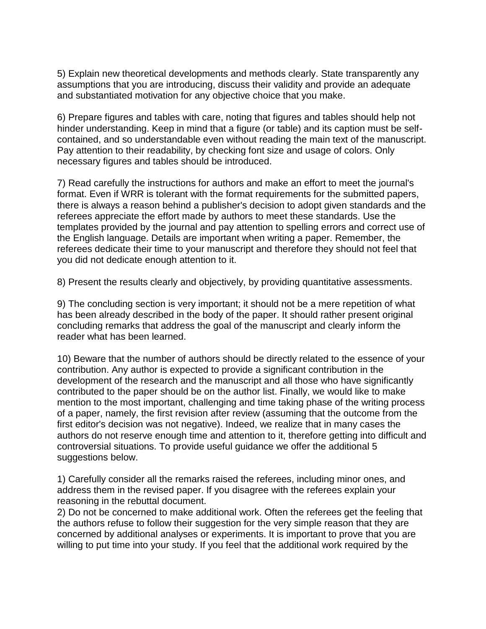5) Explain new theoretical developments and methods clearly. State transparently any assumptions that you are introducing, discuss their validity and provide an adequate and substantiated motivation for any objective choice that you make.

6) Prepare figures and tables with care, noting that figures and tables should help not hinder understanding. Keep in mind that a figure (or table) and its caption must be selfcontained, and so understandable even without reading the main text of the manuscript. Pay attention to their readability, by checking font size and usage of colors. Only necessary figures and tables should be introduced.

7) Read carefully the instructions for authors and make an effort to meet the journal's format. Even if WRR is tolerant with the format requirements for the submitted papers, there is always a reason behind a publisher's decision to adopt given standards and the referees appreciate the effort made by authors to meet these standards. Use the templates provided by the journal and pay attention to spelling errors and correct use of the English language. Details are important when writing a paper. Remember, the referees dedicate their time to your manuscript and therefore they should not feel that you did not dedicate enough attention to it.

8) Present the results clearly and objectively, by providing quantitative assessments.

9) The concluding section is very important; it should not be a mere repetition of what has been already described in the body of the paper. It should rather present original concluding remarks that address the goal of the manuscript and clearly inform the reader what has been learned.

10) Beware that the number of authors should be directly related to the essence of your contribution. Any author is expected to provide a significant contribution in the development of the research and the manuscript and all those who have significantly contributed to the paper should be on the author list. Finally, we would like to make mention to the most important, challenging and time taking phase of the writing process of a paper, namely, the first revision after review (assuming that the outcome from the first editor's decision was not negative). Indeed, we realize that in many cases the authors do not reserve enough time and attention to it, therefore getting into difficult and controversial situations. To provide useful guidance we offer the additional 5 suggestions below.

1) Carefully consider all the remarks raised the referees, including minor ones, and address them in the revised paper. If you disagree with the referees explain your reasoning in the rebuttal document.

2) Do not be concerned to make additional work. Often the referees get the feeling that the authors refuse to follow their suggestion for the very simple reason that they are concerned by additional analyses or experiments. It is important to prove that you are willing to put time into your study. If you feel that the additional work required by the